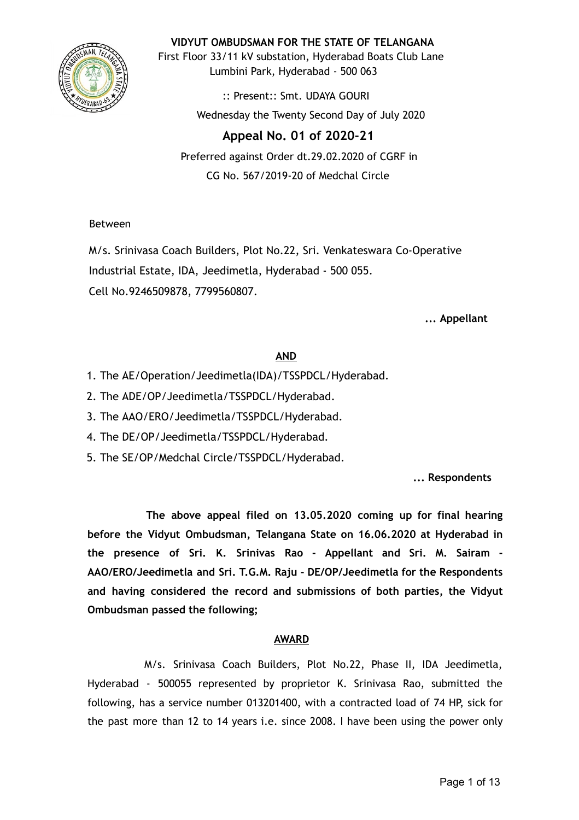

**VIDYUT OMBUDSMAN FOR THE STATE OF TELANGANA**

First Floor 33/11 kV substation, Hyderabad Boats Club Lane Lumbini Park, Hyderabad - 500 063

> :: Present:: Smt. UDAYA GOURI Wednesday the Twenty Second Day of July 2020

# **Appeal No. 01 of 2020-21**

Preferred against Order dt.29.02.2020 of CGRF in CG No. 567/2019-20 of Medchal Circle

Between

M/s. Srinivasa Coach Builders, Plot No.22, Sri. Venkateswara Co-Operative Industrial Estate, IDA, Jeedimetla, Hyderabad - 500 055. Cell No.9246509878, 7799560807.

**... Appellant**

# **AND**

- 1. The AE/Operation/Jeedimetla(IDA)/TSSPDCL/Hyderabad.
- 2. The ADE/OP/Jeedimetla/TSSPDCL/Hyderabad.
- 3. The AAO/ERO/Jeedimetla/TSSPDCL/Hyderabad.
- 4. The DE/OP/Jeedimetla/TSSPDCL/Hyderabad.
- 5. The SE/OP/Medchal Circle/TSSPDCL/Hyderabad.

**... Respondents**

**The above appeal filed on 13.05.2020 coming up for final hearing before the Vidyut Ombudsman, Telangana State on 16.06.2020 at Hyderabad in the presence of Sri. K. Srinivas Rao - Appellant and Sri. M. Sairam - AAO/ERO/Jeedimetla and Sri. T.G.M. Raju - DE/OP/Jeedimetla for the Respondents and having considered the record and submissions of both parties, the Vidyut Ombudsman passed the following;**

# **AWARD**

M/s. Srinivasa Coach Builders, Plot No.22, Phase II, IDA Jeedimetla, Hyderabad - 500055 represented by proprietor K. Srinivasa Rao, submitted the following, has a service number 013201400, with a contracted load of 74 HP, sick for the past more than 12 to 14 years i.e. since 2008. I have been using the power only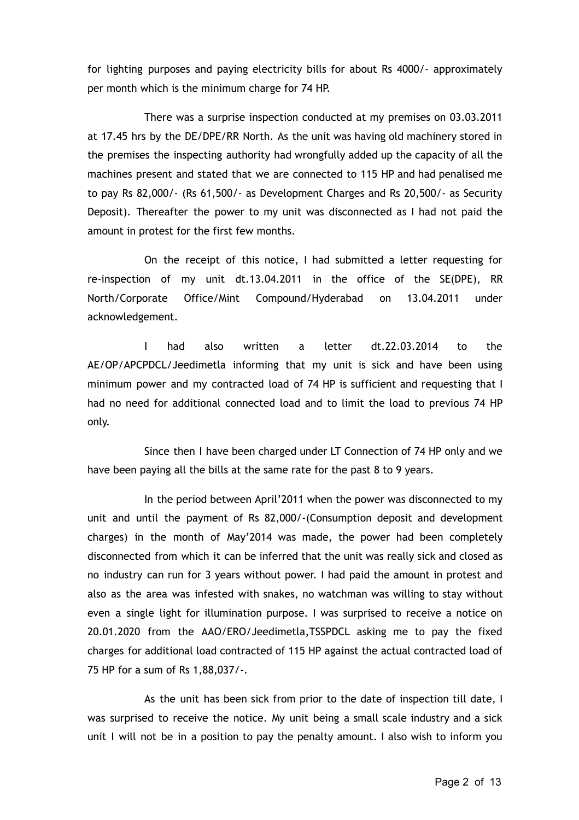for lighting purposes and paying electricity bills for about Rs 4000/- approximately per month which is the minimum charge for 74 HP.

There was a surprise inspection conducted at my premises on 03.03.2011 at 17.45 hrs by the DE/DPE/RR North. As the unit was having old machinery stored in the premises the inspecting authority had wrongfully added up the capacity of all the machines present and stated that we are connected to 115 HP and had penalised me to pay Rs 82,000/- (Rs 61,500/- as Development Charges and Rs 20,500/- as Security Deposit). Thereafter the power to my unit was disconnected as I had not paid the amount in protest for the first few months.

On the receipt of this notice, I had submitted a letter requesting for re-inspection of my unit dt.13.04.2011 in the office of the SE(DPE), RR North/Corporate Office/Mint Compound/Hyderabad on 13.04.2011 under acknowledgement.

I had also written a letter dt.22.03.2014 to the AE/OP/APCPDCL/Jeedimetla informing that my unit is sick and have been using minimum power and my contracted load of 74 HP is sufficient and requesting that I had no need for additional connected load and to limit the load to previous 74 HP only.

Since then I have been charged under LT Connection of 74 HP only and we have been paying all the bills at the same rate for the past 8 to 9 years.

In the period between April'2011 when the power was disconnected to my unit and until the payment of Rs 82,000/-(Consumption deposit and development charges) in the month of May'2014 was made, the power had been completely disconnected from which it can be inferred that the unit was really sick and closed as no industry can run for 3 years without power. I had paid the amount in protest and also as the area was infested with snakes, no watchman was willing to stay without even a single light for illumination purpose. I was surprised to receive a notice on 20.01.2020 from the AAO/ERO/Jeedimetla,TSSPDCL asking me to pay the fixed charges for additional load contracted of 115 HP against the actual contracted load of 75 HP for a sum of Rs 1,88,037/-.

As the unit has been sick from prior to the date of inspection till date, I was surprised to receive the notice. My unit being a small scale industry and a sick unit I will not be in a position to pay the penalty amount. I also wish to inform you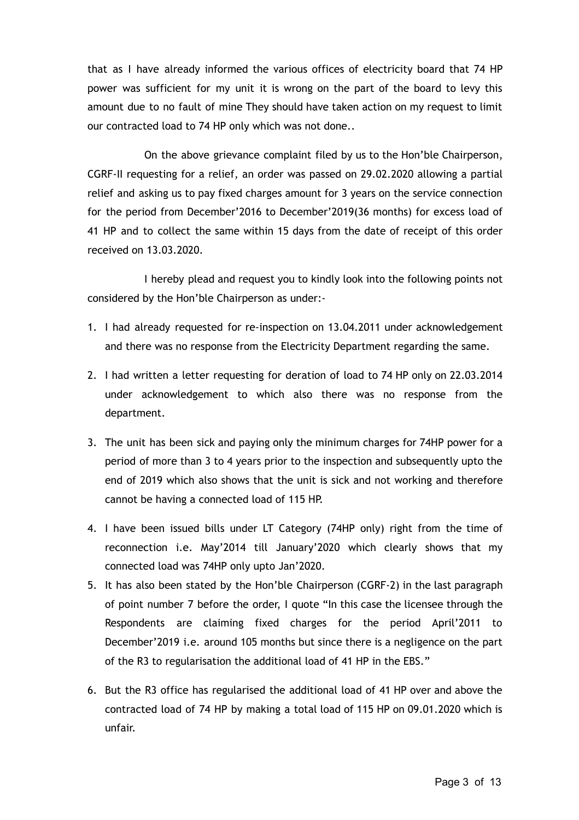that as I have already informed the various offices of electricity board that 74 HP power was sufficient for my unit it is wrong on the part of the board to levy this amount due to no fault of mine They should have taken action on my request to limit our contracted load to 74 HP only which was not done..

On the above grievance complaint filed by us to the Hon'ble Chairperson, CGRF-II requesting for a relief, an order was passed on 29.02.2020 allowing a partial relief and asking us to pay fixed charges amount for 3 years on the service connection for the period from December'2016 to December'2019(36 months) for excess load of 41 HP and to collect the same within 15 days from the date of receipt of this order received on 13.03.2020.

I hereby plead and request you to kindly look into the following points not considered by the Hon'ble Chairperson as under:-

- 1. I had already requested for re-inspection on 13.04.2011 under acknowledgement and there was no response from the Electricity Department regarding the same.
- 2. I had written a letter requesting for deration of load to 74 HP only on 22.03.2014 under acknowledgement to which also there was no response from the department.
- 3. The unit has been sick and paying only the minimum charges for 74HP power for a period of more than 3 to 4 years prior to the inspection and subsequently upto the end of 2019 which also shows that the unit is sick and not working and therefore cannot be having a connected load of 115 HP.
- 4. I have been issued bills under LT Category (74HP only) right from the time of reconnection i.e. May'2014 till January'2020 which clearly shows that my connected load was 74HP only upto Jan'2020.
- 5. It has also been stated by the Hon'ble Chairperson (CGRF-2) in the last paragraph of point number 7 before the order, I quote "In this case the licensee through the Respondents are claiming fixed charges for the period April'2011 to December'2019 i.e. around 105 months but since there is a negligence on the part of the R3 to regularisation the additional load of 41 HP in the EBS."
- 6. But the R3 office has regularised the additional load of 41 HP over and above the contracted load of 74 HP by making a total load of 115 HP on 09.01.2020 which is unfair.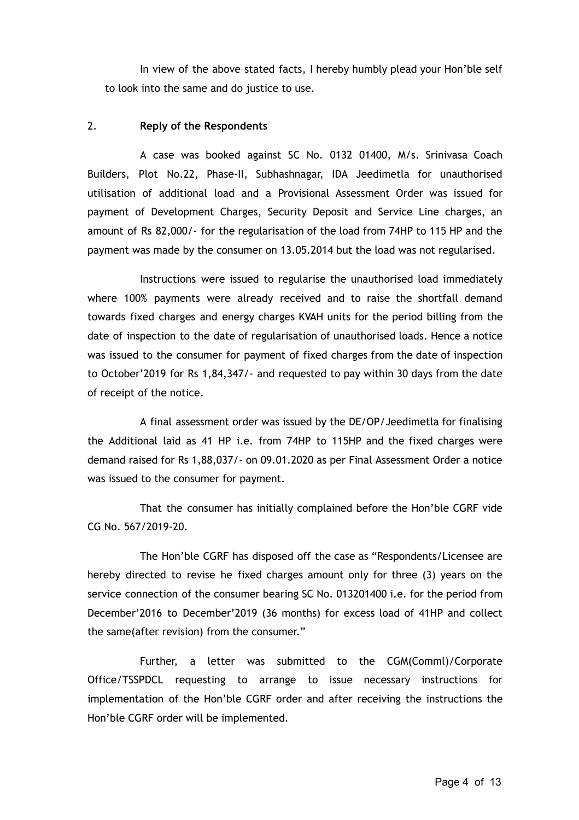In view of the above stated facts, I hereby humbly plead your Hon'ble self to look into the same and do justice to use.

## 2. **Reply of the Respondents**

A case was booked against SC No. 0132 01400, M/s. Srinivasa Coach Builders, Plot No.22, Phase-II, Subhashnagar, IDA Jeedimetla for unauthorised utilisation of additional load and a Provisional Assessment Order was issued for payment of Development Charges, Security Deposit and Service Line charges, an amount of Rs 82,000/- for the regularisation of the load from 74HP to 115 HP and the payment was made by the consumer on 13.05.2014 but the load was not regularised.

Instructions were issued to regularise the unauthorised load immediately where 100% payments were already received and to raise the shortfall demand towards fixed charges and energy charges KVAH units for the period billing from the date of inspection to the date of regularisation of unauthorised loads. Hence a notice was issued to the consumer for payment of fixed charges from the date of inspection to October'2019 for Rs 1,84,347/- and requested to pay within 30 days from the date of receipt of the notice.

A final assessment order was issued by the DE/OP/Jeedimetla for finalising the Additional laid as 41 HP i.e. from 74HP to 115HP and the fixed charges were demand raised for Rs 1,88,037/- on 09.01.2020 as per Final Assessment Order a notice was issued to the consumer for payment.

That the consumer has initially complained before the Hon'ble CGRF vide CG No. 567/2019-20.

The Hon'ble CGRF has disposed off the case as "Respondents/Licensee are hereby directed to revise he fixed charges amount only for three (3) years on the service connection of the consumer bearing SC No. 013201400 i.e. for the period from December'2016 to December'2019 (36 months) for excess load of 41HP and collect the same(after revision) from the consumer."

Further, a letter was submitted to the CGM(Comml)/Corporate Office/TSSPDCL requesting to arrange to issue necessary instructions for implementation of the Hon'ble CGRF order and after receiving the instructions the Hon'ble CGRF order will be implemented.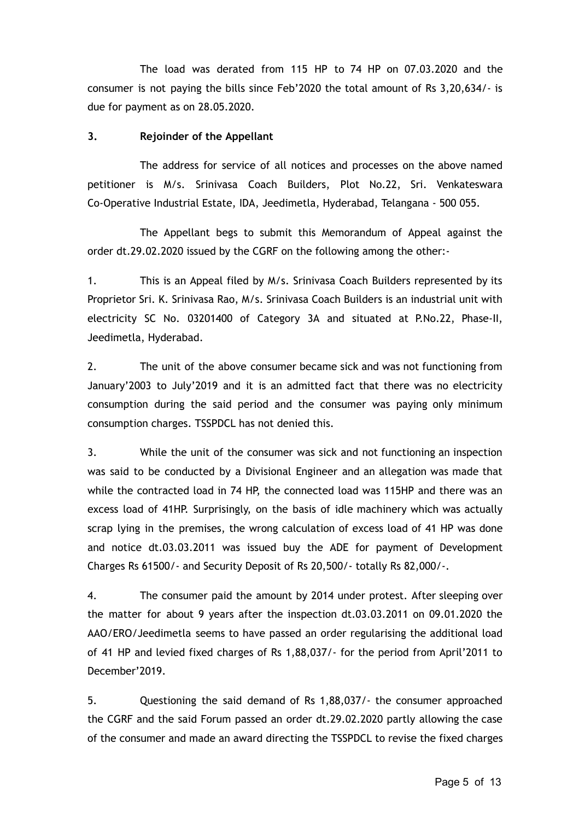The load was derated from 115 HP to 74 HP on 07.03.2020 and the consumer is not paying the bills since Feb'2020 the total amount of Rs 3,20,634/- is due for payment as on 28.05.2020.

#### **3. Rejoinder of the Appellant**

The address for service of all notices and processes on the above named petitioner is M/s. Srinivasa Coach Builders, Plot No.22, Sri. Venkateswara Co-Operative Industrial Estate, IDA, Jeedimetla, Hyderabad, Telangana - 500 055.

The Appellant begs to submit this Memorandum of Appeal against the order dt.29.02.2020 issued by the CGRF on the following among the other:-

1. This is an Appeal filed by M/s. Srinivasa Coach Builders represented by its Proprietor Sri. K. Srinivasa Rao, M/s. Srinivasa Coach Builders is an industrial unit with electricity SC No. 03201400 of Category 3A and situated at P.No.22, Phase-II, Jeedimetla, Hyderabad.

2. The unit of the above consumer became sick and was not functioning from January'2003 to July'2019 and it is an admitted fact that there was no electricity consumption during the said period and the consumer was paying only minimum consumption charges. TSSPDCL has not denied this.

3. While the unit of the consumer was sick and not functioning an inspection was said to be conducted by a Divisional Engineer and an allegation was made that while the contracted load in 74 HP, the connected load was 115HP and there was an excess load of 41HP. Surprisingly, on the basis of idle machinery which was actually scrap lying in the premises, the wrong calculation of excess load of 41 HP was done and notice dt.03.03.2011 was issued buy the ADE for payment of Development Charges Rs 61500/- and Security Deposit of Rs 20,500/- totally Rs 82,000/-.

4. The consumer paid the amount by 2014 under protest. After sleeping over the matter for about 9 years after the inspection dt.03.03.2011 on 09.01.2020 the AAO/ERO/Jeedimetla seems to have passed an order regularising the additional load of 41 HP and levied fixed charges of Rs 1,88,037/- for the period from April'2011 to December'2019.

5. Questioning the said demand of Rs 1,88,037/- the consumer approached the CGRF and the said Forum passed an order dt.29.02.2020 partly allowing the case of the consumer and made an award directing the TSSPDCL to revise the fixed charges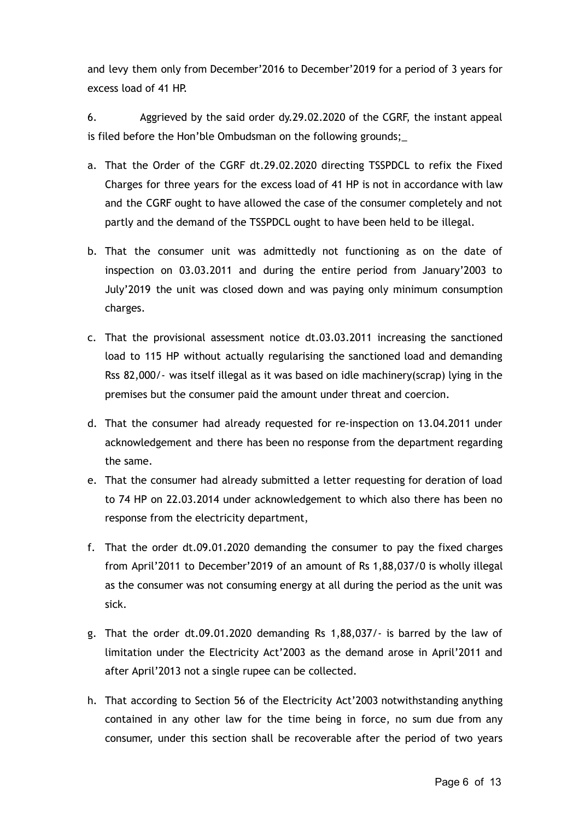and levy them only from December'2016 to December'2019 for a period of 3 years for excess load of 41 HP.

6. Aggrieved by the said order dy.29.02.2020 of the CGRF, the instant appeal is filed before the Hon'ble Ombudsman on the following grounds;\_

- a. That the Order of the CGRF dt.29.02.2020 directing TSSPDCL to refix the Fixed Charges for three years for the excess load of 41 HP is not in accordance with law and the CGRF ought to have allowed the case of the consumer completely and not partly and the demand of the TSSPDCL ought to have been held to be illegal.
- b. That the consumer unit was admittedly not functioning as on the date of inspection on 03.03.2011 and during the entire period from January'2003 to July'2019 the unit was closed down and was paying only minimum consumption charges.
- c. That the provisional assessment notice dt.03.03.2011 increasing the sanctioned load to 115 HP without actually regularising the sanctioned load and demanding Rss 82,000/- was itself illegal as it was based on idle machinery(scrap) lying in the premises but the consumer paid the amount under threat and coercion.
- d. That the consumer had already requested for re-inspection on 13.04.2011 under acknowledgement and there has been no response from the department regarding the same.
- e. That the consumer had already submitted a letter requesting for deration of load to 74 HP on 22.03.2014 under acknowledgement to which also there has been no response from the electricity department,
- f. That the order dt.09.01.2020 demanding the consumer to pay the fixed charges from April'2011 to December'2019 of an amount of Rs 1,88,037/0 is wholly illegal as the consumer was not consuming energy at all during the period as the unit was sick.
- g. That the order dt.09.01.2020 demanding Rs 1,88,037/- is barred by the law of limitation under the Electricity Act'2003 as the demand arose in April'2011 and after April'2013 not a single rupee can be collected.
- h. That according to Section 56 of the Electricity Act'2003 notwithstanding anything contained in any other law for the time being in force, no sum due from any consumer, under this section shall be recoverable after the period of two years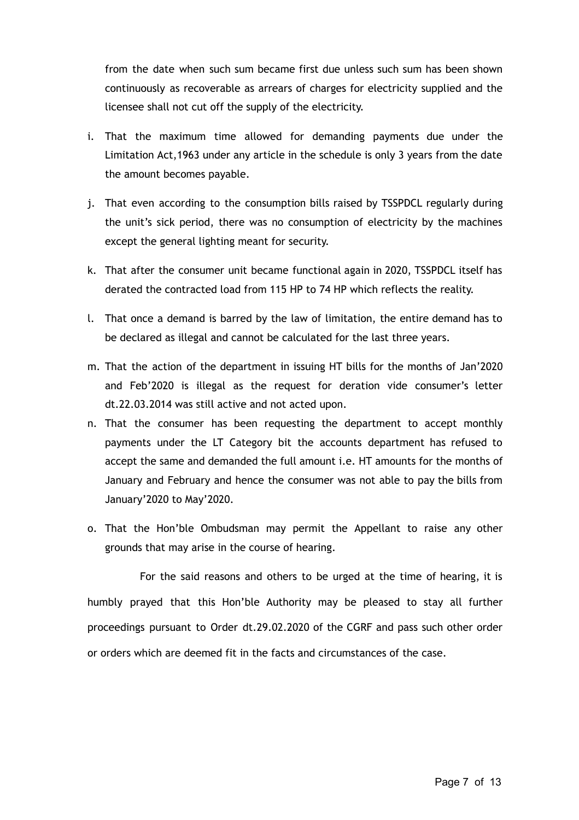from the date when such sum became first due unless such sum has been shown continuously as recoverable as arrears of charges for electricity supplied and the licensee shall not cut off the supply of the electricity.

- i. That the maximum time allowed for demanding payments due under the Limitation Act,1963 under any article in the schedule is only 3 years from the date the amount becomes payable.
- j. That even according to the consumption bills raised by TSSPDCL regularly during the unit's sick period, there was no consumption of electricity by the machines except the general lighting meant for security.
- k. That after the consumer unit became functional again in 2020, TSSPDCL itself has derated the contracted load from 115 HP to 74 HP which reflects the reality.
- l. That once a demand is barred by the law of limitation, the entire demand has to be declared as illegal and cannot be calculated for the last three years.
- m. That the action of the department in issuing HT bills for the months of Jan'2020 and Feb'2020 is illegal as the request for deration vide consumer's letter dt.22.03.2014 was still active and not acted upon.
- n. That the consumer has been requesting the department to accept monthly payments under the LT Category bit the accounts department has refused to accept the same and demanded the full amount i.e. HT amounts for the months of January and February and hence the consumer was not able to pay the bills from January'2020 to May'2020.
- o. That the Hon'ble Ombudsman may permit the Appellant to raise any other grounds that may arise in the course of hearing.

For the said reasons and others to be urged at the time of hearing, it is humbly prayed that this Hon'ble Authority may be pleased to stay all further proceedings pursuant to Order dt.29.02.2020 of the CGRF and pass such other order or orders which are deemed fit in the facts and circumstances of the case.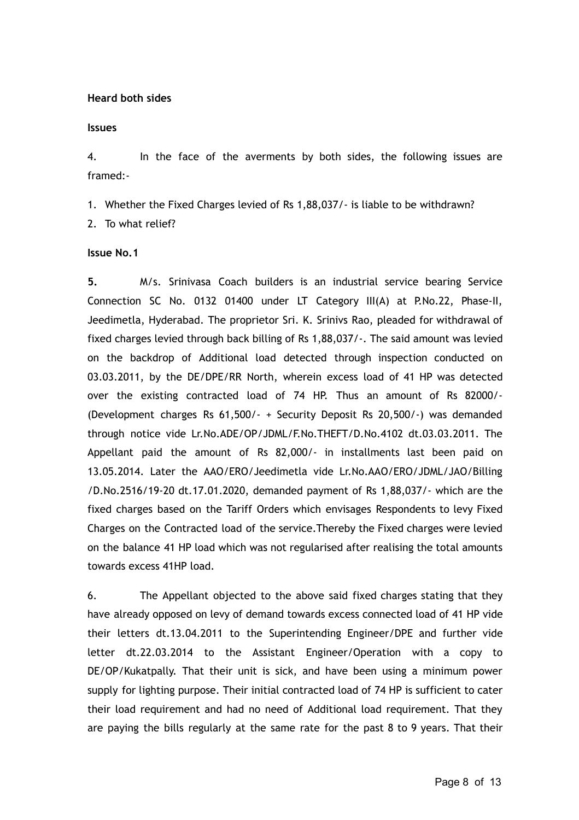## **Heard both sides**

#### **Issues**

4. In the face of the averments by both sides, the following issues are framed:-

1. Whether the Fixed Charges levied of Rs 1,88,037/- is liable to be withdrawn?

2. To what relief?

# **Issue No.1**

**5.** M/s. Srinivasa Coach builders is an industrial service bearing Service Connection SC No. 0132 01400 under LT Category III(A) at P.No.22, Phase-II, Jeedimetla, Hyderabad. The proprietor Sri. K. Srinivs Rao, pleaded for withdrawal of fixed charges levied through back billing of Rs 1,88,037/-. The said amount was levied on the backdrop of Additional load detected through inspection conducted on 03.03.2011, by the DE/DPE/RR North, wherein excess load of 41 HP was detected over the existing contracted load of 74 HP. Thus an amount of Rs 82000/- (Development charges Rs 61,500/- + Security Deposit Rs 20,500/-) was demanded through notice vide Lr.No.ADE/OP/JDML/F.No.THEFT/D.No.4102 dt.03.03.2011. The Appellant paid the amount of Rs 82,000/- in installments last been paid on 13.05.2014. Later the AAO/ERO/Jeedimetla vide Lr.No.AAO/ERO/JDML/JAO/Billing /D.No.2516/19-20 dt.17.01.2020, demanded payment of Rs 1,88,037/- which are the fixed charges based on the Tariff Orders which envisages Respondents to levy Fixed Charges on the Contracted load of the service.Thereby the Fixed charges were levied on the balance 41 HP load which was not regularised after realising the total amounts towards excess 41HP load.

6. The Appellant objected to the above said fixed charges stating that they have already opposed on levy of demand towards excess connected load of 41 HP vide their letters dt.13.04.2011 to the Superintending Engineer/DPE and further vide letter dt.22.03.2014 to the Assistant Engineer/Operation with a copy to DE/OP/Kukatpally. That their unit is sick, and have been using a minimum power supply for lighting purpose. Their initial contracted load of 74 HP is sufficient to cater their load requirement and had no need of Additional load requirement. That they are paying the bills regularly at the same rate for the past 8 to 9 years. That their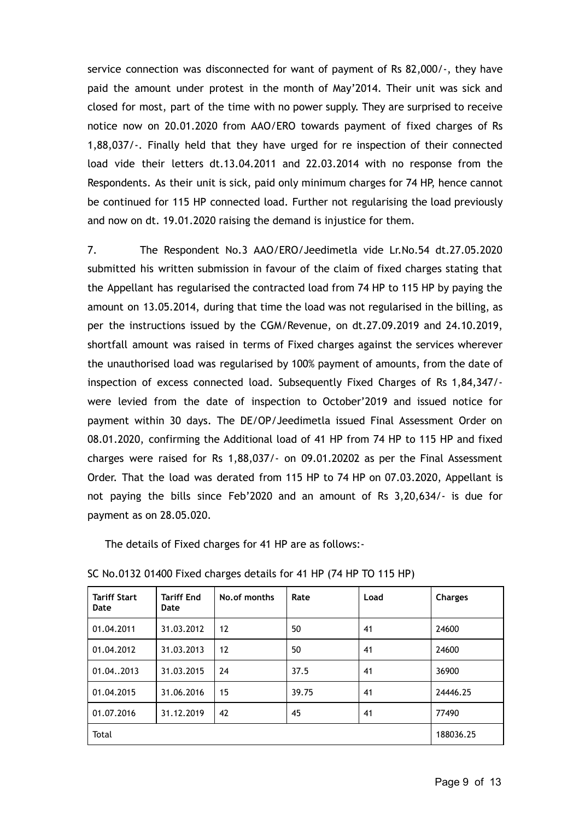service connection was disconnected for want of payment of Rs 82,000/-, they have paid the amount under protest in the month of May'2014. Their unit was sick and closed for most, part of the time with no power supply. They are surprised to receive notice now on 20.01.2020 from AAO/ERO towards payment of fixed charges of Rs 1,88,037/-. Finally held that they have urged for re inspection of their connected load vide their letters dt.13.04.2011 and 22.03.2014 with no response from the Respondents. As their unit is sick, paid only minimum charges for 74 HP, hence cannot be continued for 115 HP connected load. Further not regularising the load previously and now on dt. 19.01.2020 raising the demand is injustice for them.

7. The Respondent No.3 AAO/ERO/Jeedimetla vide Lr.No.54 dt.27.05.2020 submitted his written submission in favour of the claim of fixed charges stating that the Appellant has regularised the contracted load from 74 HP to 115 HP by paying the amount on 13.05.2014, during that time the load was not regularised in the billing, as per the instructions issued by the CGM/Revenue, on dt.27.09.2019 and 24.10.2019, shortfall amount was raised in terms of Fixed charges against the services wherever the unauthorised load was regularised by 100% payment of amounts, from the date of inspection of excess connected load. Subsequently Fixed Charges of Rs 1,84,347/ were levied from the date of inspection to October'2019 and issued notice for payment within 30 days. The DE/OP/Jeedimetla issued Final Assessment Order on 08.01.2020, confirming the Additional load of 41 HP from 74 HP to 115 HP and fixed charges were raised for Rs 1,88,037/- on 09.01.20202 as per the Final Assessment Order. That the load was derated from 115 HP to 74 HP on 07.03.2020, Appellant is not paying the bills since Feb'2020 and an amount of Rs 3,20,634/- is due for payment as on 28.05.020.

The details of Fixed charges for 41 HP are as follows:-

| <b>Tariff Start</b><br>Date | <b>Tariff End</b><br>Date | No.of months | Rate  | Load | <b>Charges</b> |
|-----------------------------|---------------------------|--------------|-------|------|----------------|
| 01.04.2011                  | 31.03.2012                | 12           | 50    | 41   | 24600          |
| 01.04.2012                  | 31.03.2013                | 12           | 50    | 41   | 24600          |
| 01.04.2013                  | 31.03.2015                | 24           | 37.5  | 41   | 36900          |
| 01.04.2015                  | 31.06.2016                | 15           | 39.75 | 41   | 24446.25       |
| 01.07.2016                  | 31.12.2019                | 42           | 45    | 41   | 77490          |
| Total                       |                           |              |       |      | 188036.25      |

SC No.0132 01400 Fixed charges details for 41 HP (74 HP TO 115 HP)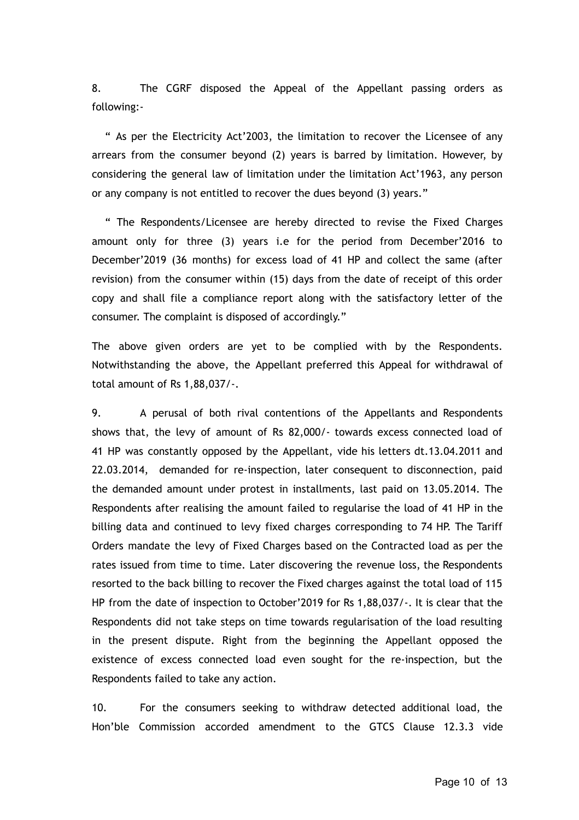8. The CGRF disposed the Appeal of the Appellant passing orders as following:-

" As per the Electricity Act'2003, the limitation to recover the Licensee of any arrears from the consumer beyond (2) years is barred by limitation. However, by considering the general law of limitation under the limitation Act'1963, any person or any company is not entitled to recover the dues beyond (3) years."

" The Respondents/Licensee are hereby directed to revise the Fixed Charges amount only for three (3) years i.e for the period from December'2016 to December'2019 (36 months) for excess load of 41 HP and collect the same (after revision) from the consumer within (15) days from the date of receipt of this order copy and shall file a compliance report along with the satisfactory letter of the consumer. The complaint is disposed of accordingly."

The above given orders are yet to be complied with by the Respondents. Notwithstanding the above, the Appellant preferred this Appeal for withdrawal of total amount of Rs 1,88,037/-.

9. A perusal of both rival contentions of the Appellants and Respondents shows that, the levy of amount of Rs 82,000/- towards excess connected load of 41 HP was constantly opposed by the Appellant, vide his letters dt.13.04.2011 and 22.03.2014, demanded for re-inspection, later consequent to disconnection, paid the demanded amount under protest in installments, last paid on 13.05.2014. The Respondents after realising the amount failed to regularise the load of 41 HP in the billing data and continued to levy fixed charges corresponding to 74 HP. The Tariff Orders mandate the levy of Fixed Charges based on the Contracted load as per the rates issued from time to time. Later discovering the revenue loss, the Respondents resorted to the back billing to recover the Fixed charges against the total load of 115 HP from the date of inspection to October'2019 for Rs 1,88,037/-. It is clear that the Respondents did not take steps on time towards regularisation of the load resulting in the present dispute. Right from the beginning the Appellant opposed the existence of excess connected load even sought for the re-inspection, but the Respondents failed to take any action.

10. For the consumers seeking to withdraw detected additional load, the Hon'ble Commission accorded amendment to the GTCS Clause 12.3.3 vide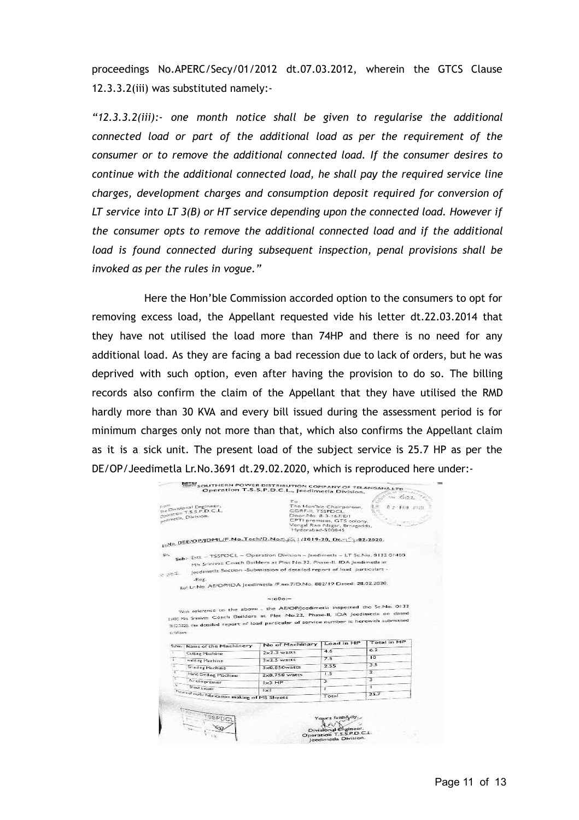proceedings No.APERC/Secy/01/2012 dt.07.03.2012, wherein the GTCS Clause 12.3.3.2(iii) was substituted namely:-

*"12.3.3.2(iii):- one month notice shall be given to regularise the additional connected load or part of the additional load as per the requirement of the consumer or to remove the additional connected load. If the consumer desires to continue with the additional connected load, he shall pay the required service line charges, development charges and consumption deposit required for conversion of LT service into LT 3(B) or HT service depending upon the connected load. However if the consumer opts to remove the additional connected load and if the additional load is found connected during subsequent inspection, penal provisions shall be invoked as per the rules in vogue."*

Here the Hon'ble Commission accorded option to the consumers to opt for removing excess load, the Appellant requested vide his letter dt.22.03.2014 that they have not utilised the load more than 74HP and there is no need for any additional load. As they are facing a bad recession due to lack of orders, but he was deprived with such option, even after having the provision to do so. The billing records also confirm the claim of the Appellant that they have utilised the RMD hardly more than 30 KVA and every bill issued during the assessment period is for minimum charges only not more than that, which also confirms the Appellant claim as it is a sick unit. The present load of the subject service is 25.7 HP as per the DE/OP/Jeedimetla Lr.No.3691 dt.29.02.2020, which is reproduced here under:-

| Hyderabad-500045                                                                                                                                                        | The Han'bie Chairporson.<br>CGRE-IL TSSPDCL<br>Door, No. 8-3-167/E/1<br>CPTI premises, GTS colony,<br>Vengal Rao Magar, Ernagadda. | 0.2 FEU 2020                                                                                                                                                                                                                                                                                                |
|-------------------------------------------------------------------------------------------------------------------------------------------------------------------------|------------------------------------------------------------------------------------------------------------------------------------|-------------------------------------------------------------------------------------------------------------------------------------------------------------------------------------------------------------------------------------------------------------------------------------------------------------|
| LINe DEE/OP/JDML/F.No.Tech/D.No.23/51 /2019-20, Deel 7-02-2020.                                                                                                         |                                                                                                                                    |                                                                                                                                                                                                                                                                                                             |
|                                                                                                                                                                         |                                                                                                                                    |                                                                                                                                                                                                                                                                                                             |
|                                                                                                                                                                         |                                                                                                                                    |                                                                                                                                                                                                                                                                                                             |
|                                                                                                                                                                         |                                                                                                                                    |                                                                                                                                                                                                                                                                                                             |
|                                                                                                                                                                         |                                                                                                                                    |                                                                                                                                                                                                                                                                                                             |
|                                                                                                                                                                         |                                                                                                                                    |                                                                                                                                                                                                                                                                                                             |
|                                                                                                                                                                         |                                                                                                                                    |                                                                                                                                                                                                                                                                                                             |
|                                                                                                                                                                         |                                                                                                                                    |                                                                                                                                                                                                                                                                                                             |
| $-1000$<br>We reference to the above , the AE/OP/Jeedimeria inspected the Sc.No. 0132<br>1400 Pis Smiwer Coach Builders at Plot No.22, Phase-II, IDA Jeedimeda on dated |                                                                                                                                    |                                                                                                                                                                                                                                                                                                             |
| 30,1230, the detailed report of load particular of service number is herewith submitted                                                                                 |                                                                                                                                    |                                                                                                                                                                                                                                                                                                             |
| No of Machinary                                                                                                                                                         | Load in HP                                                                                                                         | Total in HP                                                                                                                                                                                                                                                                                                 |
| $2\times2.3$ wates                                                                                                                                                      | 46                                                                                                                                 | 6.2                                                                                                                                                                                                                                                                                                         |
| $3 \times 2$ 5 warrs                                                                                                                                                    | 7.5                                                                                                                                | ID.                                                                                                                                                                                                                                                                                                         |
| 3x0.850watts                                                                                                                                                            | 2.55                                                                                                                               | 35                                                                                                                                                                                                                                                                                                          |
| 2x0.750 watts                                                                                                                                                           | 1.5                                                                                                                                | z.                                                                                                                                                                                                                                                                                                          |
| $1x3$ HP                                                                                                                                                                | х                                                                                                                                  | τ                                                                                                                                                                                                                                                                                                           |
| Tuax of rock: Fabrication making of MS Sheets                                                                                                                           | х                                                                                                                                  | τ<br>35.7                                                                                                                                                                                                                                                                                                   |
|                                                                                                                                                                         |                                                                                                                                    | Subt- Est - TSSPDCL - Operation Division - Jeedimetle - LT Sc.No. 0132 01400<br>Mrs Scinivas Coach Builders at Plot No.22, Phase-II. IDA Jeedimeda in<br>Jeedimedia Section -Submission of detailed report of load particulars -<br>Rd. Lr.No. AE/OP/IDA Jeedimetla (F.no.7/D.No. 882/19 Dated: 28.02.2020) |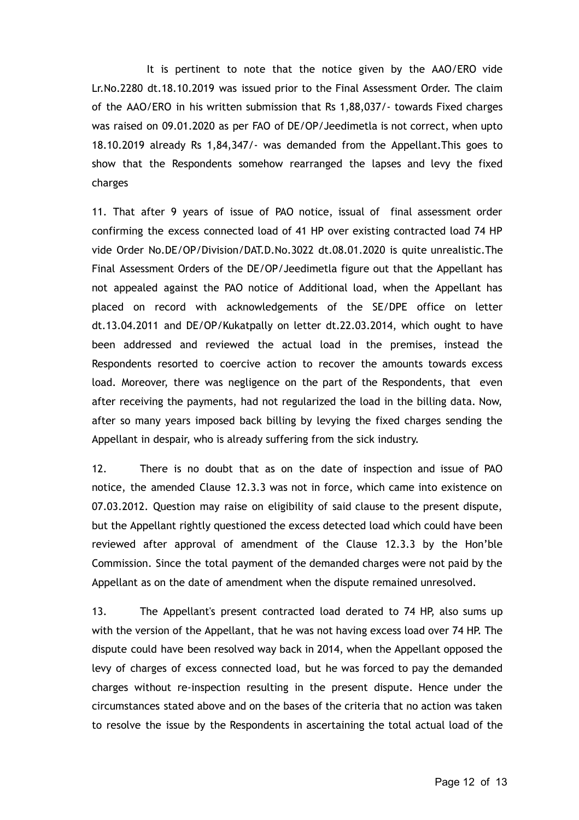It is pertinent to note that the notice given by the AAO/ERO vide Lr.No.2280 dt.18.10.2019 was issued prior to the Final Assessment Order. The claim of the AAO/ERO in his written submission that Rs 1,88,037/- towards Fixed charges was raised on 09.01.2020 as per FAO of DE/OP/Jeedimetla is not correct, when upto 18.10.2019 already Rs 1,84,347/- was demanded from the Appellant.This goes to show that the Respondents somehow rearranged the lapses and levy the fixed charges

11. That after 9 years of issue of PAO notice, issual of final assessment order confirming the excess connected load of 41 HP over existing contracted load 74 HP vide Order No.DE/OP/Division/DAT.D.No.3022 dt.08.01.2020 is quite unrealistic.The Final Assessment Orders of the DE/OP/Jeedimetla figure out that the Appellant has not appealed against the PAO notice of Additional load, when the Appellant has placed on record with acknowledgements of the SE/DPE office on letter dt.13.04.2011 and DE/OP/Kukatpally on letter dt.22.03.2014, which ought to have been addressed and reviewed the actual load in the premises, instead the Respondents resorted to coercive action to recover the amounts towards excess load. Moreover, there was negligence on the part of the Respondents, that even after receiving the payments, had not regularized the load in the billing data. Now, after so many years imposed back billing by levying the fixed charges sending the Appellant in despair, who is already suffering from the sick industry.

12. There is no doubt that as on the date of inspection and issue of PAO notice, the amended Clause 12.3.3 was not in force, which came into existence on 07.03.2012. Question may raise on eligibility of said clause to the present dispute, but the Appellant rightly questioned the excess detected load which could have been reviewed after approval of amendment of the Clause 12.3.3 by the Hon'ble Commission. Since the total payment of the demanded charges were not paid by the Appellant as on the date of amendment when the dispute remained unresolved.

13. The Appellant's present contracted load derated to 74 HP, also sums up with the version of the Appellant, that he was not having excess load over 74 HP. The dispute could have been resolved way back in 2014, when the Appellant opposed the levy of charges of excess connected load, but he was forced to pay the demanded charges without re-inspection resulting in the present dispute. Hence under the circumstances stated above and on the bases of the criteria that no action was taken to resolve the issue by the Respondents in ascertaining the total actual load of the